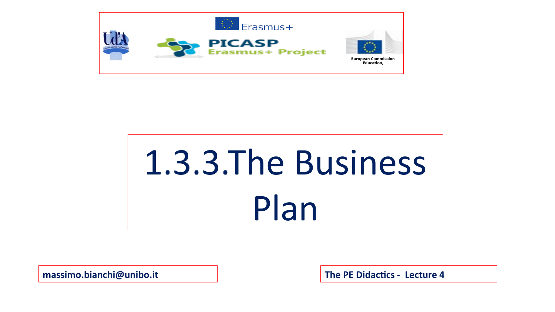

## 1.3.3.The Business Plan

**massimo.bianchi@unibo.it The PE Didactics - Lecture 4**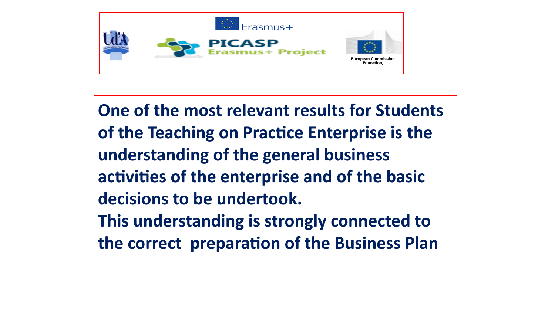

**One of the most relevant results for Students of the Teaching on Practice Enterprise is the understanding of the general business activities of the enterprise and of the basic decisions to be undertook. This understanding is strongly connected to the correct preparation of the Business Plan**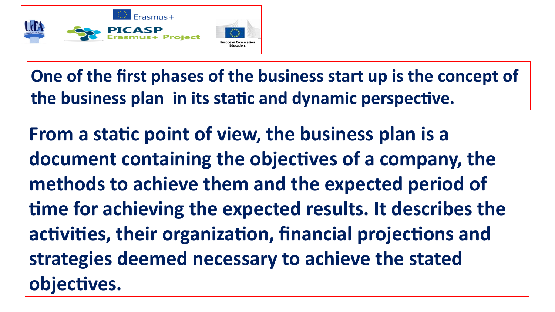

**One of the first phases of the business start up is the concept of the business plan in its static and dynamic perspective.**

**From a static point of view, the business plan is a document containing the objectives of a company, the methods to achieve them and the expected period of time for achieving the expected results. It describes the activities, their organization, financial projections and strategies deemed necessary to achieve the stated objectives.**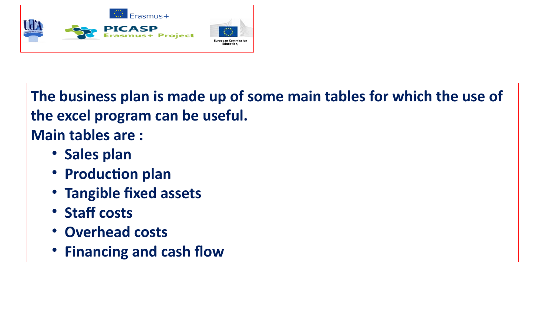

**The business plan is made up of some main tables for which the use of the excel program can be useful. Main tables are :**

- **Sales plan**
- **Production plan**
- **Tangible fixed assets**
- **Staff costs**
- **Overhead costs**
- **Financing and cash flow**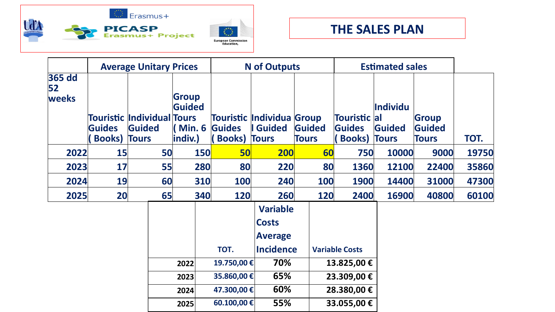



|                              | <b>Average Unitary Prices</b>        |                                             |                                                            |            | <b>N</b> of Outputs                              |                                                                                            |                        | <b>Estimated sales</b>                                           |                                           |                                 |       |
|------------------------------|--------------------------------------|---------------------------------------------|------------------------------------------------------------|------------|--------------------------------------------------|--------------------------------------------------------------------------------------------|------------------------|------------------------------------------------------------------|-------------------------------------------|---------------------------------|-------|
| <b>365 dd</b><br>52<br>weeks | <b>Guides</b><br><b>Books) Tours</b> | <b>Touristic Individual Tours</b><br>Guided | <b>Group</b><br>Guided<br>$\blacksquare$ Min. 6<br>indiv.) |            | Guides<br><b>Books) Tours</b>                    | Touristic Individua Group<br>I Guided                                                      | Guided<br><b>Tours</b> | <b>Touristic</b><br><b>Guides</b><br><b>Books</b> )              | Individu<br> al<br>Guided<br><b>Tours</b> | Group<br>Guided<br><b>Tours</b> | TOT.  |
| 2022                         | 15                                   | 50                                          |                                                            | <b>150</b> | 50                                               | 200                                                                                        | 60                     | 750                                                              | 10000                                     | 9000                            | 19750 |
| 2023                         | 17                                   | 55                                          |                                                            | 280        | 80                                               | 220                                                                                        | 80                     | 1360                                                             | 12100                                     | 22400                           | 35860 |
| 2024                         | 19                                   | 60                                          |                                                            | 310        | 100                                              | 240                                                                                        | 100                    | 1900                                                             | 14400                                     | 31000                           | 47300 |
| 2025                         | 20                                   | 65                                          |                                                            | 340        | 120                                              | 260                                                                                        | 120                    | 2400                                                             | 16900                                     | 40800                           | 60100 |
|                              |                                      |                                             | 2022<br>2023<br>2024                                       |            | TOT.<br>19.750,00€<br>35.860,00 €<br>47.300,00 € | <b>Variable</b><br><b>Costs</b><br><b>Average</b><br><b>Incidence</b><br>70%<br>65%<br>60% |                        | <b>Variable Costs</b><br>13.825,00 €<br>23.309,00€<br>28.380,00€ |                                           |                                 |       |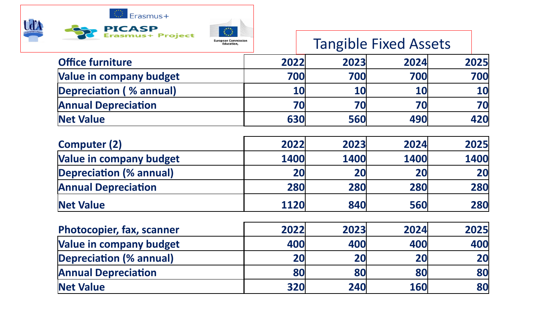

## Tangible Fixed Assets

| <b>Office furniture</b>        | 2022      | 2023       | 2024 | 2025      |
|--------------------------------|-----------|------------|------|-----------|
| <b>Value in company budget</b> | 700       | 700        | 700  | 700       |
| Depreciation (% annual)        | <b>10</b> | 10         | 10   | <b>10</b> |
| <b>Annual Depreciation</b>     | 70        | 70         | 70   | <b>70</b> |
| Net Value                      | 630       | <b>560</b> | 490  | 420       |

| <b>Computer (2)</b>            | 2022 | 2023 | 2024 | 2025 |
|--------------------------------|------|------|------|------|
| <b>Value in company budget</b> | 1400 | 1400 | 1400 | 1400 |
| <b>Depreciation (% annual)</b> | 20   | 20   | 20   | 20   |
| <b>Annual Depreciation</b>     | 280  | 280  | 280  | 280  |
| <b>Net Value</b>               | 1120 | 840  | 560  | 280  |

| <b>Photocopier, fax, scanner</b> | 2022       | 2023       | 2024       | 2025 |
|----------------------------------|------------|------------|------------|------|
| <b>Value in company budget</b>   | 400        | <b>400</b> | 400        | 400  |
| <b>Depreciation (% annual)</b>   | 20         | 20         | 20         | 20   |
| <b>Annual Depreciation</b>       | 80         | 80         | 80         | 80   |
| <b>Net Value</b>                 | <b>320</b> | 240        | <b>160</b> | 80   |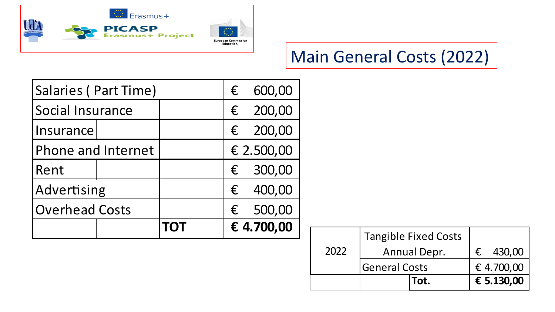

## Main General Costs (2022)

| Salaries (Part Time)  |  | €          | 600,00     |            |
|-----------------------|--|------------|------------|------------|
| Social Insurance      |  |            | €          | 200,00     |
| Insurance             |  |            | $\epsilon$ | 200,00     |
| Phone and Internet    |  |            |            | € 2.500,00 |
| Rent                  |  |            | €          | 300,00     |
| Advertising           |  |            | $\epsilon$ | 400,00     |
| <b>Overhead Costs</b> |  | €          | 500,00     |            |
|                       |  | <b>TOT</b> |            | € 4.700,00 |

|      | <b>Tangible Fixed Costs</b> |      |  |            |
|------|-----------------------------|------|--|------------|
| 2022 | <b>Annual Depr.</b>         |      |  | 430,00     |
|      | <b>General Costs</b>        |      |  | € 4.700,00 |
|      |                             | Tot. |  | € 5.130,00 |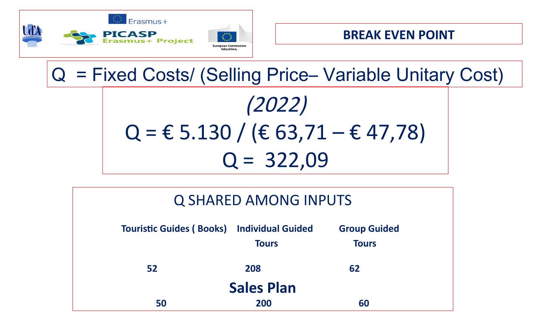





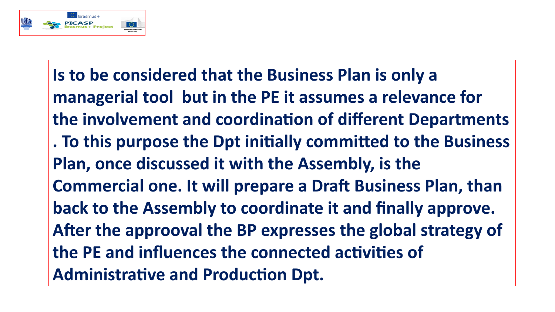

**Is to be considered that the Business Plan is only a managerial tool but in the PE it assumes a relevance for the involvement and coordination of different Departments . To this purpose the Dpt initially committed to the Business Plan, once discussed it with the Assembly, is the Commercial one. It will prepare a Draft Business Plan, than back to the Assembly to coordinate it and finally approve. After the approoval the BP expresses the global strategy of the PE and influences the connected activities of Administrative and Production Dpt.**